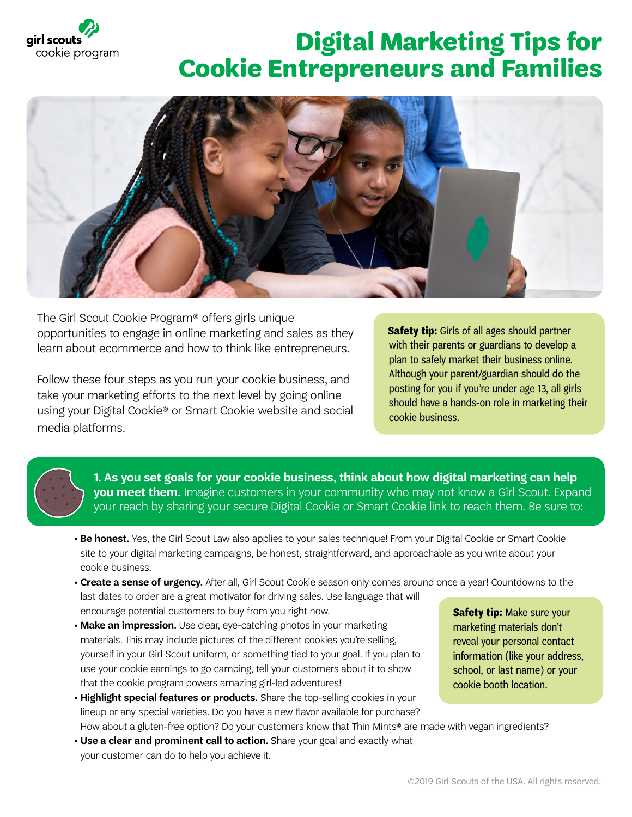

## **Digital Marketing Tips for Cookie Entrepreneurs and Families**



The Girl Scout Cookie Program® offers girls unique opportunities to engage in online marketing and sales as they learn about ecommerce and how to think like entrepreneurs.

Follow these four steps as you run your cookie business, and take your marketing efforts to the next level by going online using your Digital Cookie® or Smart Cookie website and social media platforms.

**Safety tip:** Girls of all ages should partner with their parents or guardians to develop a plan to safely market their business online. Although your parent/guardian should do the posting for you if you're under age 13, all girls should have a hands-on role in marketing their cookie business.



**1. As you set goals for your cookie business, think about how digital marketing can help you meet them.** Imagine customers in your community who may not know a Girl Scout. Expand your reach by sharing your secure Digital Cookie or Smart Cookie link to reach them. Be sure to:

- **• Be honest.** Yes, the Girl Scout Law also applies to your sales technique! From your Digital Cookie or Smart Cookie site to your digital marketing campaigns, be honest, straightforward, and approachable as you write about your cookie business.
- **• Create a sense of urgency.** After all, Girl Scout Cookie season only comes around once a year! Countdowns to the last dates to order are a great motivator for driving sales. Use language that will encourage potential customers to buy from you right now.
- **• Make an impression.** Use clear, eye-catching photos in your marketing materials. This may include pictures of the different cookies you're selling, yourself in your Girl Scout uniform, or something tied to your goal. If you plan to use your cookie earnings to go camping, tell your customers about it to show that the cookie program powers amazing girl-led adventures!
- **• Highlight special features or products.** Share the top-selling cookies in your lineup or any special varieties. Do you have a new flavor available for purchase? How about a gluten-free option? Do your customers know that Thin Mints® are made with vegan ingredients?
- **Use a clear and prominent call to action.** Share your goal and exactly what your customer can do to help you achieve it.

**Safety tip:** Make sure your marketing materials don't reveal your personal contact information (like your address, school, or last name) or your cookie booth location.